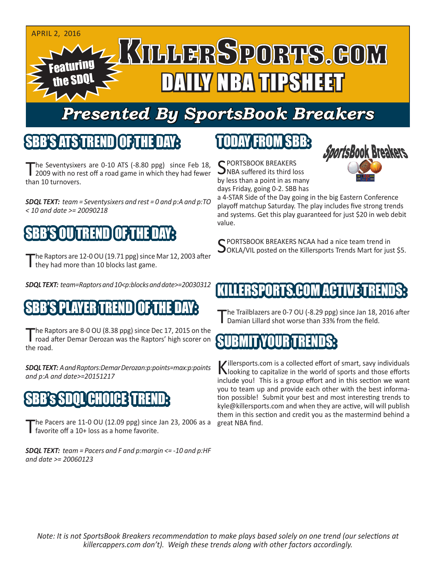

## *Presented By SportsBook Breakers*

#### SBB'S ATS TREND

The Seventysixers are 0-10 ATS (-8.80 ppg) since Feb 18,<br>2009 with no rest off a road game in which they had fewer than 10 turnovers.

*SDQL TEXT: team = Seventysixers and rest = 0 and p:A and p:TO < 10 and date >= 20090218*

## TREND

The Raptors are 12-0 OU (19.71 ppg) since Mar 12, 2003 after they had more than 10 blocks last game.

*SDQL TEXT: team=Raptors and 10<p:blocks and date>=20030312*

## SBB'S PLAYER TREND OF THE DAY:

The Raptors are 8-0 OU (8.38 ppg) since Dec 17, 2015 on the<br>road after Demar Derozan was the Raptors' high scorer on the road.

*SDQL TEXT: A and Raptors:Demar Derozan:p:points=max:p:points and p:A and date>=20151217*

## SBB's SDQL CHOICE TREND:

The Pacers are  $11-0$  OU (12.09 ppg) since Jan 23, 2006 as a favorite off a 10+ loss as a home favorite.

*SDQL TEXT: team = Pacers and F and p:margin <= -10 and p:HF and date >= 20060123*

#### TODAY FROM SBB:

C PORTSBOOK BREAKERS NBA suffered its third loss by less than a point in as many days Friday, going 0-2. SBB has



a 4-STAR Side of the Day going in the big Eastern Conference playoff matchup Saturday. The play includes five strong trends and systems. Get this play guaranteed for just \$20 in web debit value.

C PORTSBOOK BREAKERS NCAA had a nice team trend in OOKLA/VIL posted on the Killersports Trends Mart for just \$5.

## RSPORTS.COM ACT

he Trailblazers are 0-7 OU (-8.29 ppg) since Jan 18, 2016 after Damian Lillard shot worse than 33% from the field.

#### IBMIT YOUR TREND

Killersports.com is a collected effort of smart, savy individuals<br>Nooking to capitalize in the world of sports and those efforts include you! This is a group effort and in this section we want you to team up and provide each other with the best information possible! Submit your best and most interesting trends to kyle@killersports.com and when they are active, will will publish them in this section and credit you as the mastermind behind a great NBA find.

*Note: It is not SportsBook Breakers recommendation to make plays based solely on one trend (our selections at killercappers.com don't). Weigh these trends along with other factors accordingly.*